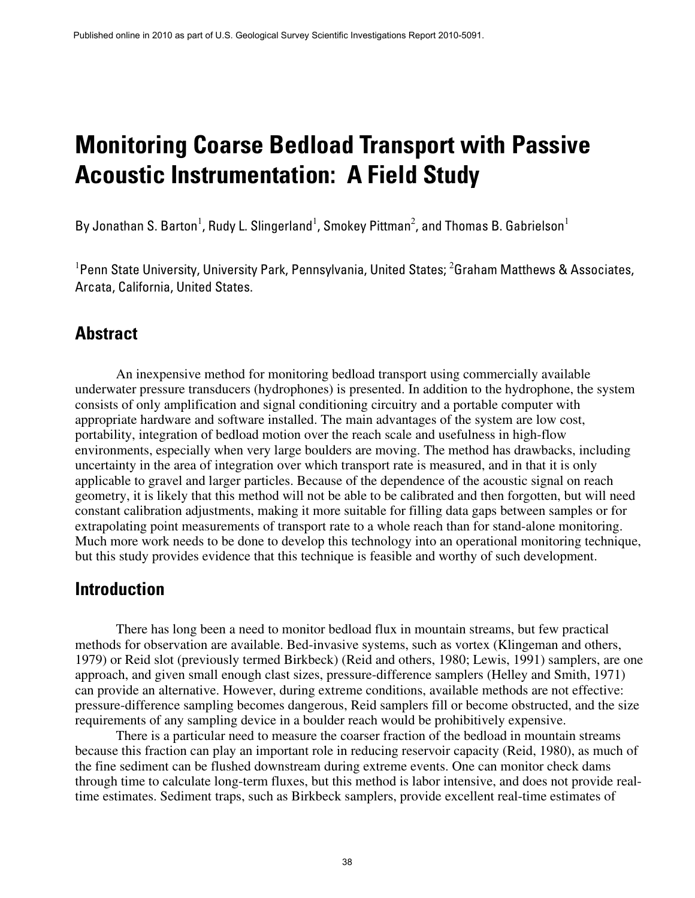# **Monitoring Coarse Bedload Transport with Passive Acoustic Instrumentation: A Field Study**

By Jonathan S. Barton<sup>1</sup>, Rudy L. Slingerland<sup>1</sup>, Smokey Pittman<sup>2</sup>, and Thomas B. Gabrielson<sup>1</sup>

<sup>1</sup> Penn State University, University Park, Pennsylvania, United States; <sup>2</sup> Graham Matthews & Associates, Arcata, California, United States.

#### **Abstract**

An inexpensive method for monitoring bedload transport using commercially available underwater pressure transducers (hydrophones) is presented. In addition to the hydrophone, the system consists of only amplification and signal conditioning circuitry and a portable computer with appropriate hardware and software installed. The main advantages of the system are low cost, portability, integration of bedload motion over the reach scale and usefulness in high-flow environments, especially when very large boulders are moving. The method has drawbacks, including uncertainty in the area of integration over which transport rate is measured, and in that it is only applicable to gravel and larger particles. Because of the dependence of the acoustic signal on reach geometry, it is likely that this method will not be able to be calibrated and then forgotten, but will need constant calibration adjustments, making it more suitable for filling data gaps between samples or for extrapolating point measurements of transport rate to a whole reach than for stand-alone monitoring. Much more work needs to be done to develop this technology into an operational monitoring technique, but this study provides evidence that this technique is feasible and worthy of such development.

#### **Introduction**

There has long been a need to monitor bedload flux in mountain streams, but few practical methods for observation are available. Bed-invasive systems, such as vortex (Klingeman and others, 1979) or Reid slot (previously termed Birkbeck) (Reid and others, 1980; Lewis, 1991) samplers, are one approach, and given small enough clast sizes, pressure-difference samplers (Helley and Smith, 1971) can provide an alternative. However, during extreme conditions, available methods are not effective: pressure-difference sampling becomes dangerous, Reid samplers fill or become obstructed, and the size requirements of any sampling device in a boulder reach would be prohibitively expensive.

There is a particular need to measure the coarser fraction of the bedload in mountain streams because this fraction can play an important role in reducing reservoir capacity (Reid, 1980), as much of the fine sediment can be flushed downstream during extreme events. One can monitor check dams through time to calculate long-term fluxes, but this method is labor intensive, and does not provide realtime estimates. Sediment traps, such as Birkbeck samplers, provide excellent real-time estimates of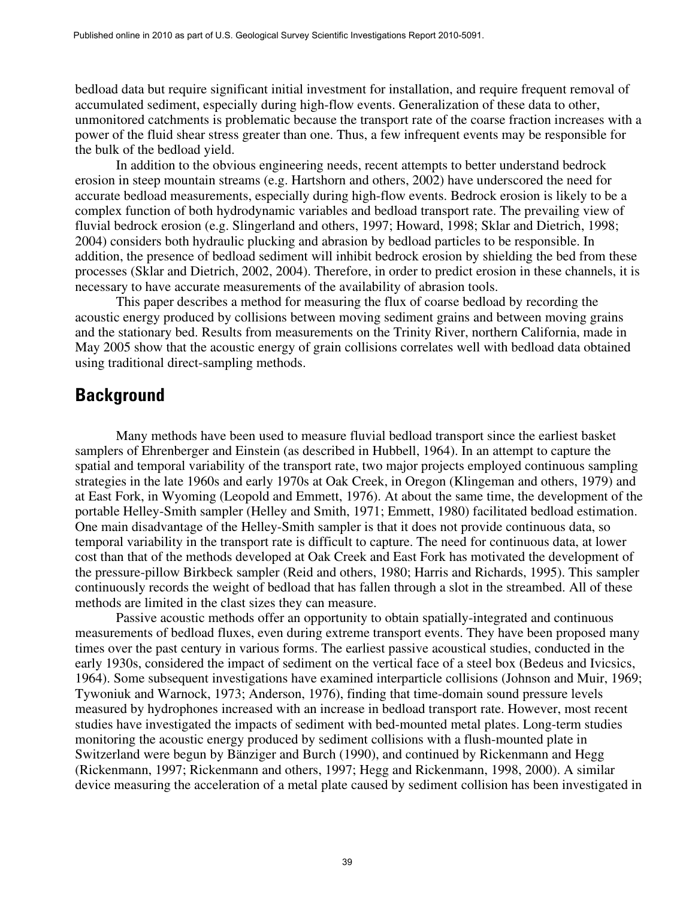bedload data but require significant initial investment for installation, and require frequent removal of accumulated sediment, especially during high-flow events. Generalization of these data to other, unmonitored catchments is problematic because the transport rate of the coarse fraction increases with a power of the fluid shear stress greater than one. Thus, a few infrequent events may be responsible for the bulk of the bedload yield.

In addition to the obvious engineering needs, recent attempts to better understand bedrock erosion in steep mountain streams (e.g. Hartshorn and others, 2002) have underscored the need for accurate bedload measurements, especially during high-flow events. Bedrock erosion is likely to be a complex function of both hydrodynamic variables and bedload transport rate. The prevailing view of fluvial bedrock erosion (e.g. Slingerland and others, 1997; Howard, 1998; Sklar and Dietrich, 1998; 2004) considers both hydraulic plucking and abrasion by bedload particles to be responsible. In addition, the presence of bedload sediment will inhibit bedrock erosion by shielding the bed from these processes (Sklar and Dietrich, 2002, 2004). Therefore, in order to predict erosion in these channels, it is necessary to have accurate measurements of the availability of abrasion tools.

This paper describes a method for measuring the flux of coarse bedload by recording the acoustic energy produced by collisions between moving sediment grains and between moving grains and the stationary bed. Results from measurements on the Trinity River, northern California, made in May 2005 show that the acoustic energy of grain collisions correlates well with bedload data obtained using traditional direct-sampling methods.

#### **Background**

Many methods have been used to measure fluvial bedload transport since the earliest basket samplers of Ehrenberger and Einstein (as described in Hubbell, 1964). In an attempt to capture the spatial and temporal variability of the transport rate, two major projects employed continuous sampling strategies in the late 1960s and early 1970s at Oak Creek, in Oregon (Klingeman and others, 1979) and at East Fork, in Wyoming (Leopold and Emmett, 1976). At about the same time, the development of the portable Helley-Smith sampler (Helley and Smith, 1971; Emmett, 1980) facilitated bedload estimation. One main disadvantage of the Helley-Smith sampler is that it does not provide continuous data, so temporal variability in the transport rate is difficult to capture. The need for continuous data, at lower cost than that of the methods developed at Oak Creek and East Fork has motivated the development of the pressure-pillow Birkbeck sampler (Reid and others, 1980; Harris and Richards, 1995). This sampler continuously records the weight of bedload that has fallen through a slot in the streambed. All of these methods are limited in the clast sizes they can measure.

Passive acoustic methods offer an opportunity to obtain spatially-integrated and continuous measurements of bedload fluxes, even during extreme transport events. They have been proposed many times over the past century in various forms. The earliest passive acoustical studies, conducted in the early 1930s, considered the impact of sediment on the vertical face of a steel box (Bedeus and Ivicsics, 1964). Some subsequent investigations have examined interparticle collisions (Johnson and Muir, 1969; Tywoniuk and Warnock, 1973; Anderson, 1976), finding that time-domain sound pressure levels measured by hydrophones increased with an increase in bedload transport rate. However, most recent studies have investigated the impacts of sediment with bed-mounted metal plates. Long-term studies monitoring the acoustic energy produced by sediment collisions with a flush-mounted plate in Switzerland were begun by Bänziger and Burch (1990), and continued by Rickenmann and Hegg (Rickenmann, 1997; Rickenmann and others, 1997; Hegg and Rickenmann, 1998, 2000). A similar device measuring the acceleration of a metal plate caused by sediment collision has been investigated in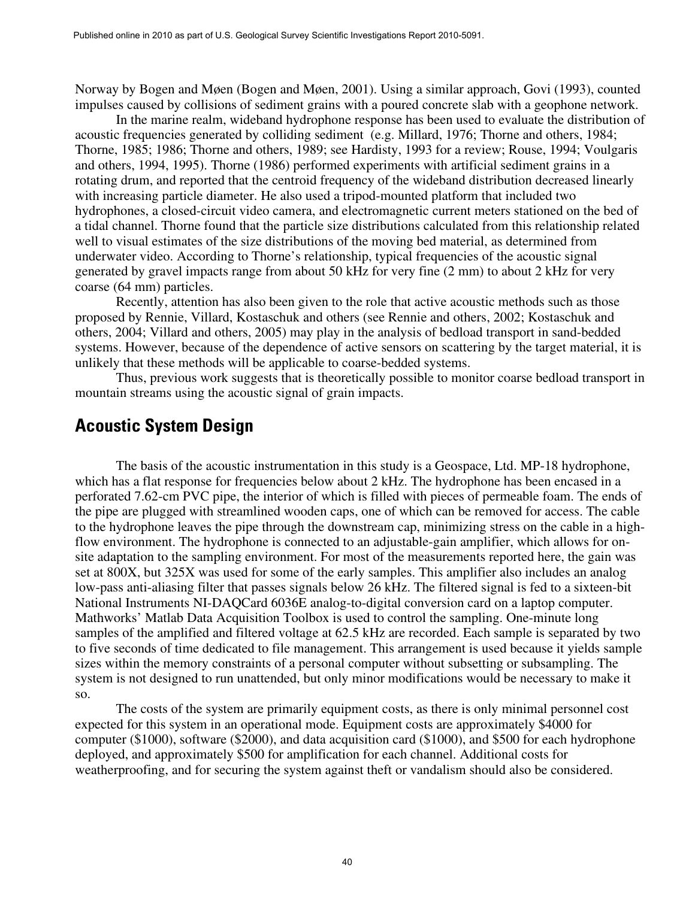Norway by Bogen and Møen (Bogen and Møen, 2001). Using a similar approach, Govi (1993), counted impulses caused by collisions of sediment grains with a poured concrete slab with a geophone network.

In the marine realm, wideband hydrophone response has been used to evaluate the distribution of acoustic frequencies generated by colliding sediment (e.g. Millard, 1976; Thorne and others, 1984; Thorne, 1985; 1986; Thorne and others, 1989; see Hardisty, 1993 for a review; Rouse, 1994; Voulgaris and others, 1994, 1995). Thorne (1986) performed experiments with artificial sediment grains in a rotating drum, and reported that the centroid frequency of the wideband distribution decreased linearly with increasing particle diameter. He also used a tripod-mounted platform that included two hydrophones, a closed-circuit video camera, and electromagnetic current meters stationed on the bed of a tidal channel. Thorne found that the particle size distributions calculated from this relationship related well to visual estimates of the size distributions of the moving bed material, as determined from underwater video. According to Thorne's relationship, typical frequencies of the acoustic signal generated by gravel impacts range from about 50 kHz for very fine (2 mm) to about 2 kHz for very coarse (64 mm) particles.

Recently, attention has also been given to the role that active acoustic methods such as those proposed by Rennie, Villard, Kostaschuk and others (see Rennie and others, 2002; Kostaschuk and others, 2004; Villard and others, 2005) may play in the analysis of bedload transport in sand-bedded systems. However, because of the dependence of active sensors on scattering by the target material, it is unlikely that these methods will be applicable to coarse-bedded systems.

Thus, previous work suggests that is theoretically possible to monitor coarse bedload transport in mountain streams using the acoustic signal of grain impacts.

#### **Acoustic System Design**

The basis of the acoustic instrumentation in this study is a Geospace, Ltd. MP-18 hydrophone, which has a flat response for frequencies below about 2 kHz. The hydrophone has been encased in a perforated 7.62-cm PVC pipe, the interior of which is filled with pieces of permeable foam. The ends of the pipe are plugged with streamlined wooden caps, one of which can be removed for access. The cable to the hydrophone leaves the pipe through the downstream cap, minimizing stress on the cable in a highflow environment. The hydrophone is connected to an adjustable-gain amplifier, which allows for onsite adaptation to the sampling environment. For most of the measurements reported here, the gain was set at 800X, but 325X was used for some of the early samples. This amplifier also includes an analog low-pass anti-aliasing filter that passes signals below 26 kHz. The filtered signal is fed to a sixteen-bit National Instruments NI-DAQCard 6036E analog-to-digital conversion card on a laptop computer. Mathworks' Matlab Data Acquisition Toolbox is used to control the sampling. One-minute long samples of the amplified and filtered voltage at 62.5 kHz are recorded. Each sample is separated by two to five seconds of time dedicated to file management. This arrangement is used because it yields sample sizes within the memory constraints of a personal computer without subsetting or subsampling. The system is not designed to run unattended, but only minor modifications would be necessary to make it so.

The costs of the system are primarily equipment costs, as there is only minimal personnel cost expected for this system in an operational mode. Equipment costs are approximately \$4000 for computer (\$1000), software (\$2000), and data acquisition card (\$1000), and \$500 for each hydrophone deployed, and approximately \$500 for amplification for each channel. Additional costs for weatherproofing, and for securing the system against theft or vandalism should also be considered.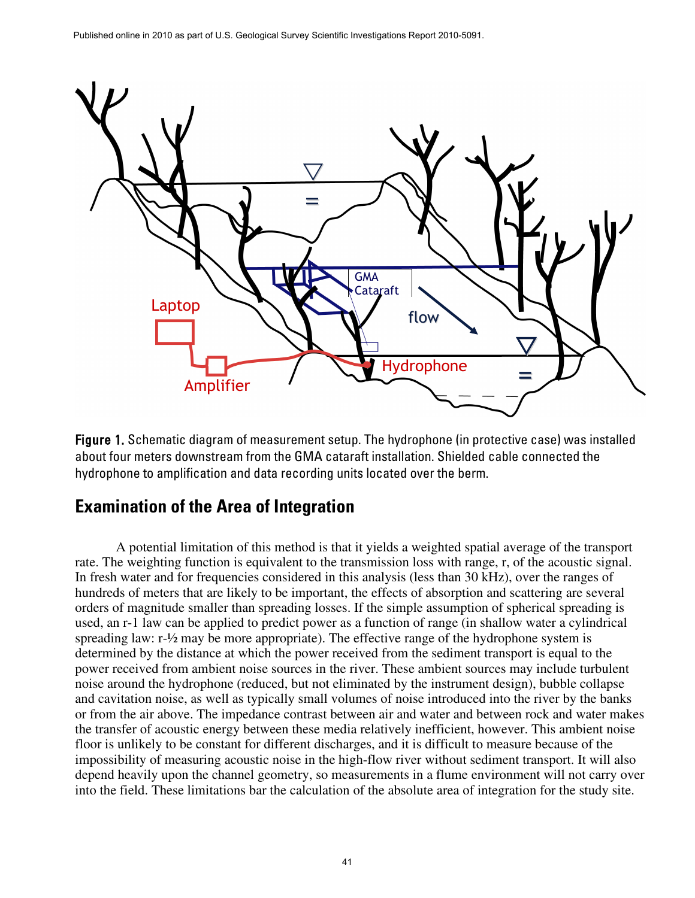

Figure 1. Schematic diagram of measurement setup. The hydrophone (in protective case) was installed about four meters downstream from the GMA cataraft installation. Shielded cable connected the hydrophone to amplification and data recording units located over the berm.

# **Examination of the Area of Integration**

A potential limitation of this method is that it yields a weighted spatial average of the transport rate. The weighting function is equivalent to the transmission loss with range, r, of the acoustic signal. In fresh water and for frequencies considered in this analysis (less than 30 kHz), over the ranges of hundreds of meters that are likely to be important, the effects of absorption and scattering are several orders of magnitude smaller than spreading losses. If the simple assumption of spherical spreading is used, an r-1 law can be applied to predict power as a function of range (in shallow water a cylindrical spreading law: r-½ may be more appropriate). The effective range of the hydrophone system is determined by the distance at which the power received from the sediment transport is equal to the power received from ambient noise sources in the river. These ambient sources may include turbulent noise around the hydrophone (reduced, but not eliminated by the instrument design), bubble collapse and cavitation noise, as well as typically small volumes of noise introduced into the river by the banks or from the air above. The impedance contrast between air and water and between rock and water makes the transfer of acoustic energy between these media relatively inefficient, however. This ambient noise floor is unlikely to be constant for different discharges, and it is difficult to measure because of the impossibility of measuring acoustic noise in the high-flow river without sediment transport. It will also depend heavily upon the channel geometry, so measurements in a flume environment will not carry over into the field. These limitations bar the calculation of the absolute area of integration for the study site.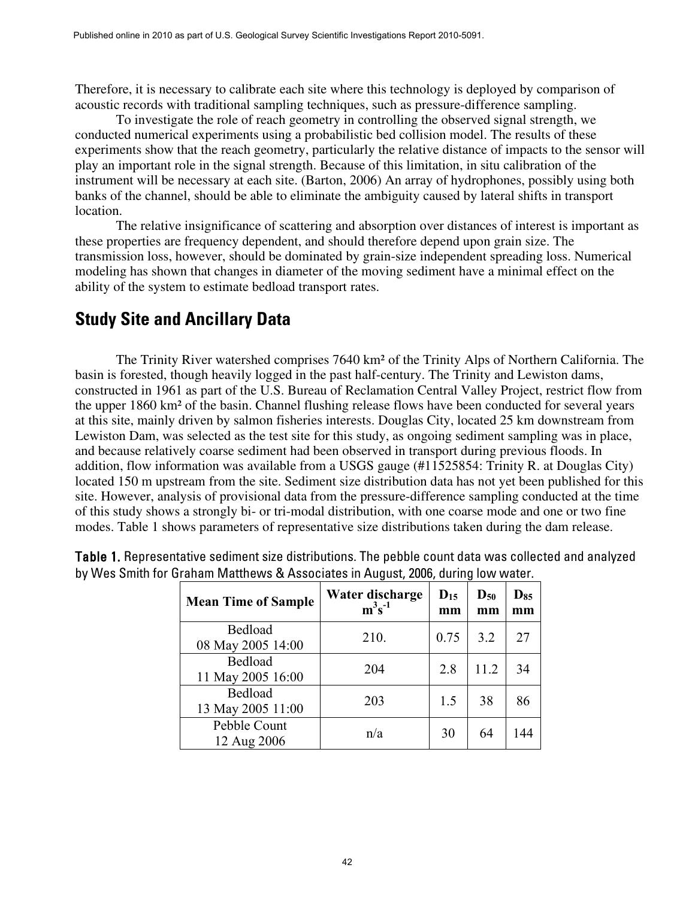Therefore, it is necessary to calibrate each site where this technology is deployed by comparison of acoustic records with traditional sampling techniques, such as pressure-difference sampling.

To investigate the role of reach geometry in controlling the observed signal strength, we conducted numerical experiments using a probabilistic bed collision model. The results of these experiments show that the reach geometry, particularly the relative distance of impacts to the sensor will play an important role in the signal strength. Because of this limitation, in situ calibration of the instrument will be necessary at each site. (Barton, 2006) An array of hydrophones, possibly using both banks of the channel, should be able to eliminate the ambiguity caused by lateral shifts in transport location.

The relative insignificance of scattering and absorption over distances of interest is important as these properties are frequency dependent, and should therefore depend upon grain size. The transmission loss, however, should be dominated by grain-size independent spreading loss. Numerical modeling has shown that changes in diameter of the moving sediment have a minimal effect on the ability of the system to estimate bedload transport rates.

#### **Study Site and Ancillary Data**

The Trinity River watershed comprises 7640 km² of the Trinity Alps of Northern California. The basin is forested, though heavily logged in the past half-century. The Trinity and Lewiston dams, constructed in 1961 as part of the U.S. Bureau of Reclamation Central Valley Project, restrict flow from the upper 1860 km² of the basin. Channel flushing release flows have been conducted for several years at this site, mainly driven by salmon fisheries interests. Douglas City, located 25 km downstream from Lewiston Dam, was selected as the test site for this study, as ongoing sediment sampling was in place, and because relatively coarse sediment had been observed in transport during previous floods. In addition, flow information was available from a USGS gauge (#11525854: Trinity R. at Douglas City) located 150 m upstream from the site. Sediment size distribution data has not yet been published for this site. However, analysis of provisional data from the pressure-difference sampling conducted at the time of this study shows a strongly bi- or tri-modal distribution, with one coarse mode and one or two fine modes. Table 1 shows parameters of representative size distributions taken during the dam release.

| <b>Mean Time of Sample</b>   | Water discharge<br>$m^3s^{-1}$ | $D_{15}$<br>mm | $\mathbf{D}_{\mathbf{50}}$<br>mm | $D_{85}$<br>mm |
|------------------------------|--------------------------------|----------------|----------------------------------|----------------|
| Bedload<br>08 May 2005 14:00 | 210.                           | 0.75           | 3.2                              | 27             |
| Bedload<br>11 May 2005 16:00 | 204                            | 2.8            | 11.2                             | 34             |
| Bedload<br>13 May 2005 11:00 | 203                            | 1.5            | 38                               | 86             |
| Pebble Count<br>12 Aug 2006  | n/a                            | 30             | 64                               | 144            |

Table 1. Representative sediment size distributions. The pebble count data was collected and analyzed by Wes Smith for Graham Matthews & Associates in August, 2006, during low water.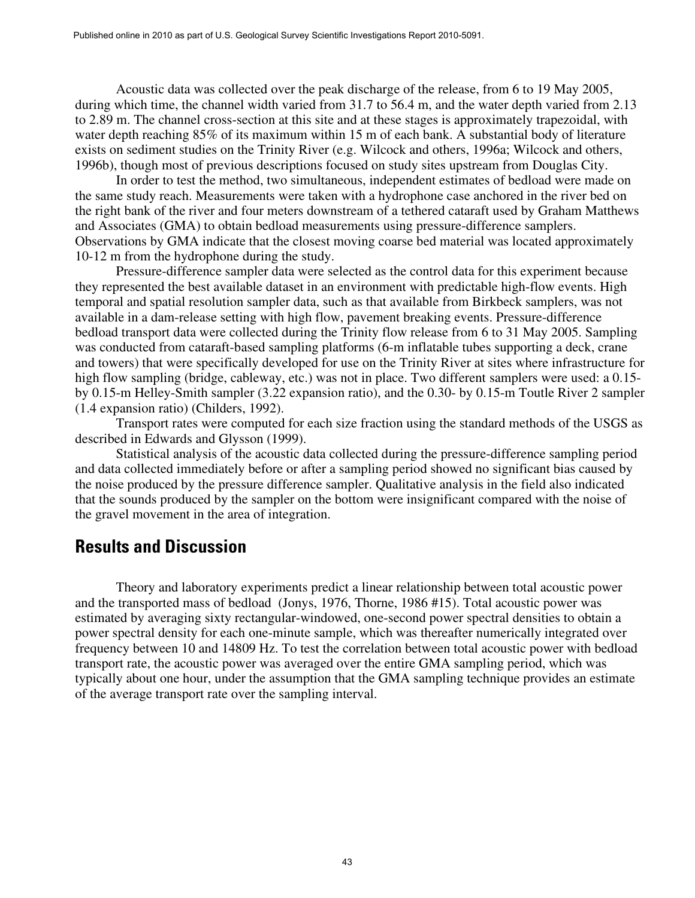Acoustic data was collected over the peak discharge of the release, from 6 to 19 May 2005, during which time, the channel width varied from 31.7 to 56.4 m, and the water depth varied from 2.13 to 2.89 m. The channel cross-section at this site and at these stages is approximately trapezoidal, with water depth reaching 85% of its maximum within 15 m of each bank. A substantial body of literature exists on sediment studies on the Trinity River (e.g. Wilcock and others, 1996a; Wilcock and others, 1996b), though most of previous descriptions focused on study sites upstream from Douglas City.

In order to test the method, two simultaneous, independent estimates of bedload were made on the same study reach. Measurements were taken with a hydrophone case anchored in the river bed on the right bank of the river and four meters downstream of a tethered cataraft used by Graham Matthews and Associates (GMA) to obtain bedload measurements using pressure-difference samplers. Observations by GMA indicate that the closest moving coarse bed material was located approximately 10-12 m from the hydrophone during the study.

Pressure-difference sampler data were selected as the control data for this experiment because they represented the best available dataset in an environment with predictable high-flow events. High temporal and spatial resolution sampler data, such as that available from Birkbeck samplers, was not available in a dam-release setting with high flow, pavement breaking events. Pressure-difference bedload transport data were collected during the Trinity flow release from 6 to 31 May 2005. Sampling was conducted from cataraft-based sampling platforms (6-m inflatable tubes supporting a deck, crane and towers) that were specifically developed for use on the Trinity River at sites where infrastructure for high flow sampling (bridge, cableway, etc.) was not in place. Two different samplers were used: a 0.15by 0.15-m Helley-Smith sampler (3.22 expansion ratio), and the 0.30- by 0.15-m Toutle River 2 sampler (1.4 expansion ratio) (Childers, 1992).

Transport rates were computed for each size fraction using the standard methods of the USGS as described in Edwards and Glysson (1999).

Statistical analysis of the acoustic data collected during the pressure-difference sampling period and data collected immediately before or after a sampling period showed no significant bias caused by the noise produced by the pressure difference sampler. Qualitative analysis in the field also indicated that the sounds produced by the sampler on the bottom were insignificant compared with the noise of the gravel movement in the area of integration.

#### **Results and Discussion**

Theory and laboratory experiments predict a linear relationship between total acoustic power and the transported mass of bedload (Jonys, 1976, Thorne, 1986 #15). Total acoustic power was estimated by averaging sixty rectangular-windowed, one-second power spectral densities to obtain a power spectral density for each one-minute sample, which was thereafter numerically integrated over frequency between 10 and 14809 Hz. To test the correlation between total acoustic power with bedload transport rate, the acoustic power was averaged over the entire GMA sampling period, which was typically about one hour, under the assumption that the GMA sampling technique provides an estimate of the average transport rate over the sampling interval.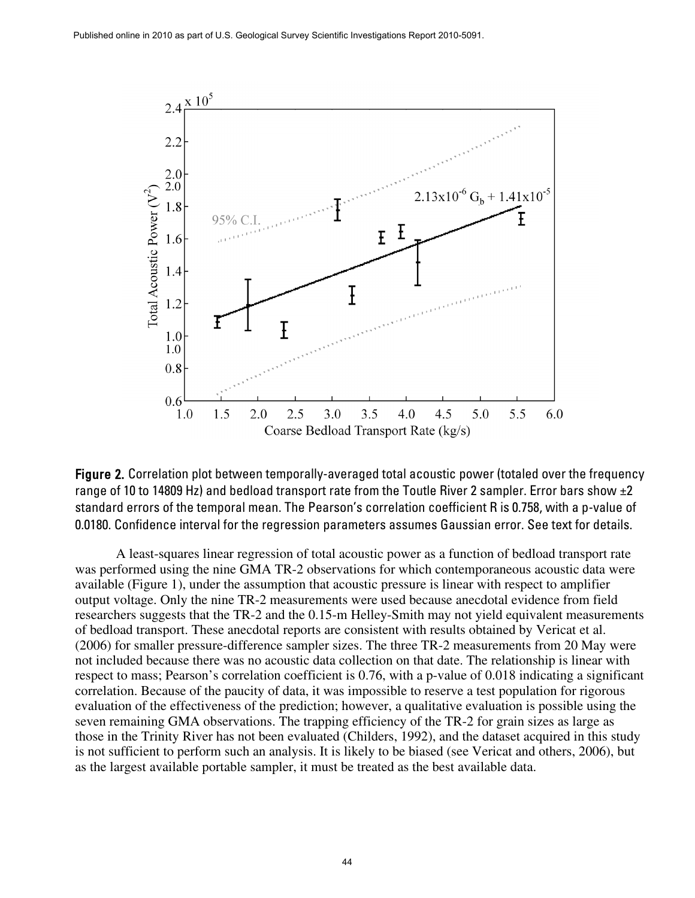

Figure 2. Correlation plot between temporally-averaged total acoustic power (totaled over the frequency range of 10 to 14809 Hz) and bedload transport rate from the Toutle River 2 sampler. Error bars show  $\pm 2$ standard errors of the temporal mean. The Pearson's correlation coefficient R is 0.758, with a p-value of 0.0180. Confidence interval for the regression parameters assumes Gaussian error. See text for details.

A least-squares linear regression of total acoustic power as a function of bedload transport rate was performed using the nine GMA TR-2 observations for which contemporaneous acoustic data were available (Figure 1), under the assumption that acoustic pressure is linear with respect to amplifier output voltage. Only the nine TR-2 measurements were used because anecdotal evidence from field researchers suggests that the TR-2 and the 0.15-m Helley-Smith may not yield equivalent measurements of bedload transport. These anecdotal reports are consistent with results obtained by Vericat et al. (2006) for smaller pressure-difference sampler sizes. The three TR-2 measurements from 20 May were not included because there was no acoustic data collection on that date. The relationship is linear with respect to mass; Pearson's correlation coefficient is 0.76, with a p-value of 0.018 indicating a significant correlation. Because of the paucity of data, it was impossible to reserve a test population for rigorous evaluation of the effectiveness of the prediction; however, a qualitative evaluation is possible using the seven remaining GMA observations. The trapping efficiency of the TR-2 for grain sizes as large as those in the Trinity River has not been evaluated (Childers, 1992), and the dataset acquired in this study is not sufficient to perform such an analysis. It is likely to be biased (see Vericat and others, 2006), but as the largest available portable sampler, it must be treated as the best available data.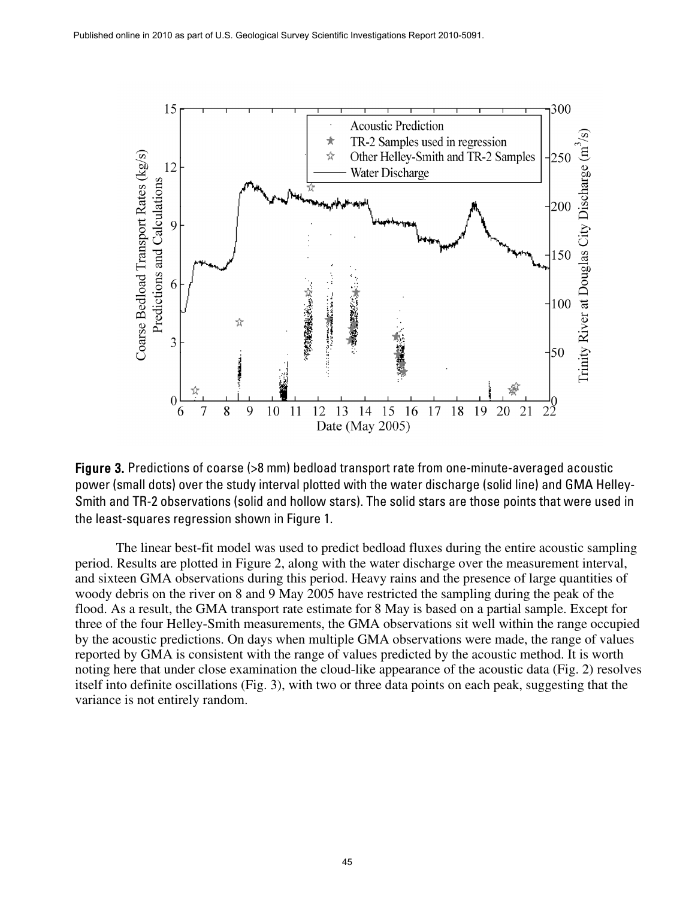

Figure 3. Predictions of coarse (>8 mm) bedload transport rate from one-minute-averaged acoustic power (small dots) over the study interval plotted with the water discharge (solid line) and GMA Helley-Smith and TR-2 observations (solid and hollow stars). The solid stars are those points that were used in the least-squares regression shown in Figure 1.

The linear best-fit model was used to predict bedload fluxes during the entire acoustic sampling period. Results are plotted in Figure 2, along with the water discharge over the measurement interval, and sixteen GMA observations during this period. Heavy rains and the presence of large quantities of woody debris on the river on 8 and 9 May 2005 have restricted the sampling during the peak of the flood. As a result, the GMA transport rate estimate for 8 May is based on a partial sample. Except for three of the four Helley-Smith measurements, the GMA observations sit well within the range occupied by the acoustic predictions. On days when multiple GMA observations were made, the range of values reported by GMA is consistent with the range of values predicted by the acoustic method. It is worth noting here that under close examination the cloud-like appearance of the acoustic data (Fig. 2) resolves itself into definite oscillations (Fig. 3), with two or three data points on each peak, suggesting that the variance is not entirely random.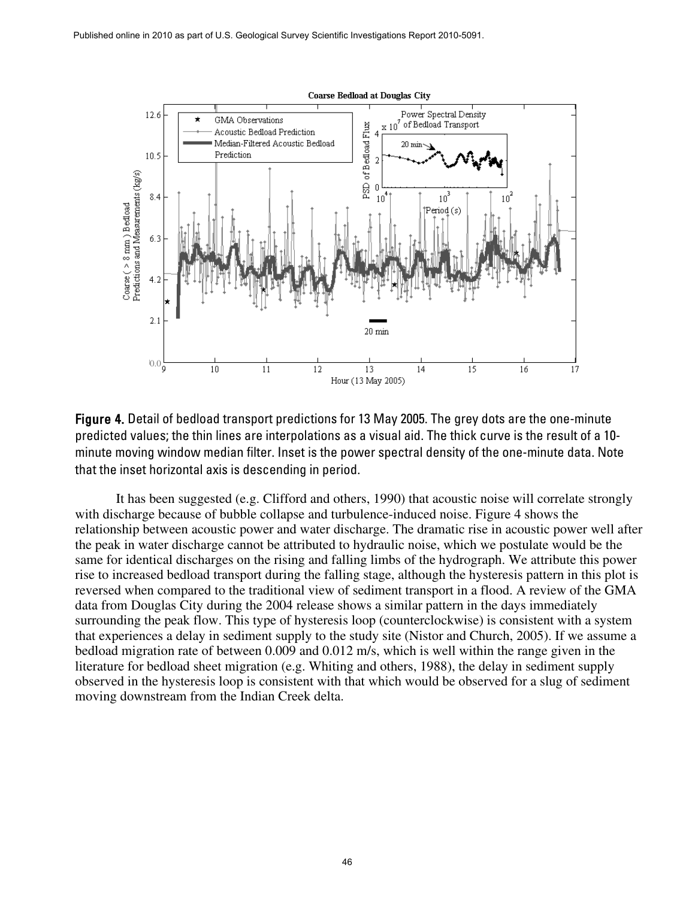

Figure 4. Detail of bedload transport predictions for 13 May 2005. The grey dots are the one-minute predicted values; the thin lines are interpolations as a visual aid. The thick curve is the result of a 10 minute moving window median filter. Inset is the power spectral density of the one-minute data. Note that the inset horizontal axis is descending in period.

It has been suggested (e.g. Clifford and others, 1990) that acoustic noise will correlate strongly with discharge because of bubble collapse and turbulence-induced noise. Figure 4 shows the relationship between acoustic power and water discharge. The dramatic rise in acoustic power well after the peak in water discharge cannot be attributed to hydraulic noise, which we postulate would be the same for identical discharges on the rising and falling limbs of the hydrograph. We attribute this power rise to increased bedload transport during the falling stage, although the hysteresis pattern in this plot is reversed when compared to the traditional view of sediment transport in a flood. A review of the GMA data from Douglas City during the 2004 release shows a similar pattern in the days immediately surrounding the peak flow. This type of hysteresis loop (counterclockwise) is consistent with a system that experiences a delay in sediment supply to the study site (Nistor and Church, 2005). If we assume a bedload migration rate of between 0.009 and 0.012 m/s, which is well within the range given in the literature for bedload sheet migration (e.g. Whiting and others, 1988), the delay in sediment supply observed in the hysteresis loop is consistent with that which would be observed for a slug of sediment moving downstream from the Indian Creek delta.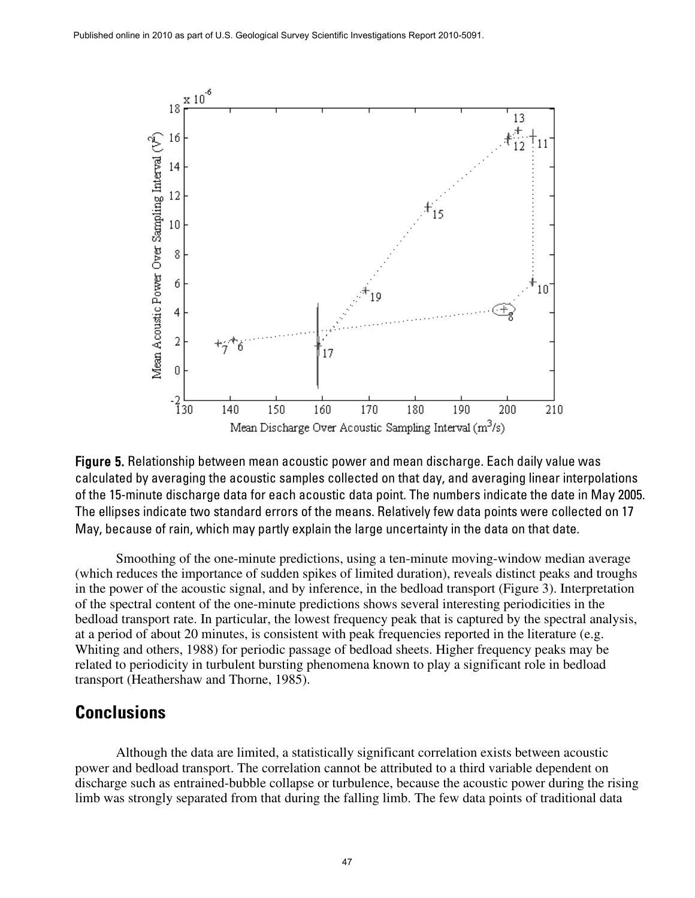

Figure 5. Relationship between mean acoustic power and mean discharge. Each daily value was calculated by averaging the acoustic samples collected on that day, and averaging linear interpolations of the 15-minute discharge data for each acoustic data point. The numbers indicate the date in May 2005. The ellipses indicate two standard errors of the means. Relatively few data points were collected on 17 May, because of rain, which may partly explain the large uncertainty in the data on that date.

Smoothing of the one-minute predictions, using a ten-minute moving-window median average (which reduces the importance of sudden spikes of limited duration), reveals distinct peaks and troughs in the power of the acoustic signal, and by inference, in the bedload transport (Figure 3). Interpretation of the spectral content of the one-minute predictions shows several interesting periodicities in the bedload transport rate. In particular, the lowest frequency peak that is captured by the spectral analysis, at a period of about 20 minutes, is consistent with peak frequencies reported in the literature (e.g. Whiting and others, 1988) for periodic passage of bedload sheets. Higher frequency peaks may be related to periodicity in turbulent bursting phenomena known to play a significant role in bedload transport (Heathershaw and Thorne, 1985).

#### **Conclusions**

Although the data are limited, a statistically significant correlation exists between acoustic power and bedload transport. The correlation cannot be attributed to a third variable dependent on discharge such as entrained-bubble collapse or turbulence, because the acoustic power during the rising limb was strongly separated from that during the falling limb. The few data points of traditional data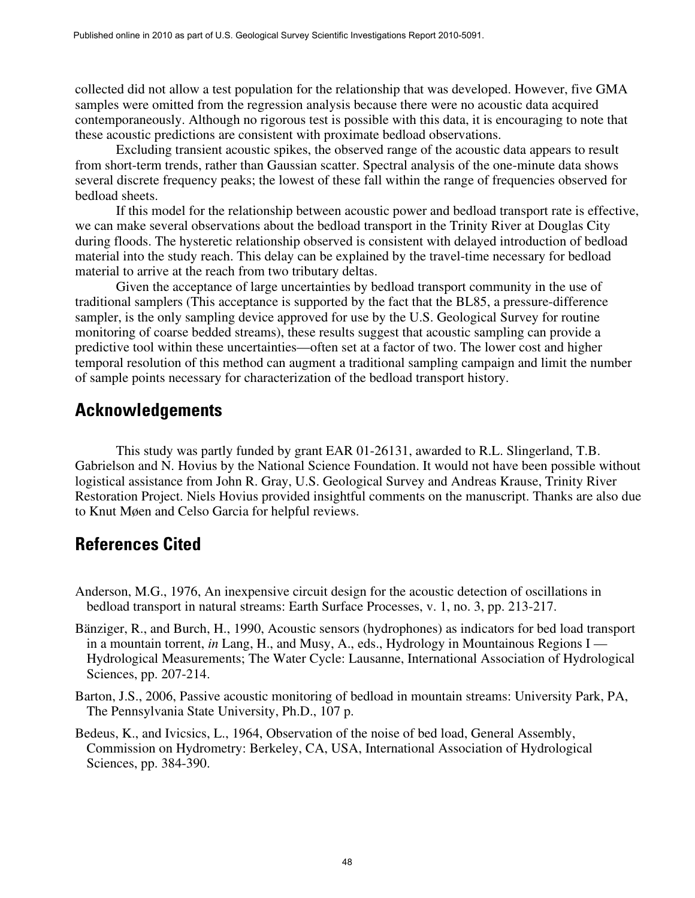collected did not allow a test population for the relationship that was developed. However, five GMA samples were omitted from the regression analysis because there were no acoustic data acquired contemporaneously. Although no rigorous test is possible with this data, it is encouraging to note that these acoustic predictions are consistent with proximate bedload observations.

Excluding transient acoustic spikes, the observed range of the acoustic data appears to result from short-term trends, rather than Gaussian scatter. Spectral analysis of the one-minute data shows several discrete frequency peaks; the lowest of these fall within the range of frequencies observed for bedload sheets.

If this model for the relationship between acoustic power and bedload transport rate is effective, we can make several observations about the bedload transport in the Trinity River at Douglas City during floods. The hysteretic relationship observed is consistent with delayed introduction of bedload material into the study reach. This delay can be explained by the travel-time necessary for bedload material to arrive at the reach from two tributary deltas.

Given the acceptance of large uncertainties by bedload transport community in the use of traditional samplers (This acceptance is supported by the fact that the BL85, a pressure-difference sampler, is the only sampling device approved for use by the U.S. Geological Survey for routine monitoring of coarse bedded streams), these results suggest that acoustic sampling can provide a predictive tool within these uncertainties—often set at a factor of two. The lower cost and higher temporal resolution of this method can augment a traditional sampling campaign and limit the number of sample points necessary for characterization of the bedload transport history.

### **Acknowledgements**

This study was partly funded by grant EAR 01-26131, awarded to R.L. Slingerland, T.B. Gabrielson and N. Hovius by the National Science Foundation. It would not have been possible without logistical assistance from John R. Gray, U.S. Geological Survey and Andreas Krause, Trinity River Restoration Project. Niels Hovius provided insightful comments on the manuscript. Thanks are also due to Knut Møen and Celso Garcia for helpful reviews.

## **References Cited**

- Anderson, M.G., 1976, An inexpensive circuit design for the acoustic detection of oscillations in bedload transport in natural streams: Earth Surface Processes, v. 1, no. 3, pp. 213-217.
- Bänziger, R., and Burch, H., 1990, Acoustic sensors (hydrophones) as indicators for bed load transport in a mountain torrent, *in* Lang, H., and Musy, A., eds., Hydrology in Mountainous Regions I — Hydrological Measurements; The Water Cycle: Lausanne, International Association of Hydrological Sciences, pp. 207-214.
- Barton, J.S., 2006, Passive acoustic monitoring of bedload in mountain streams: University Park, PA, The Pennsylvania State University, Ph.D., 107 p.
- Bedeus, K., and Ivicsics, L., 1964, Observation of the noise of bed load, General Assembly, Commission on Hydrometry: Berkeley, CA, USA, International Association of Hydrological Sciences, pp. 384-390.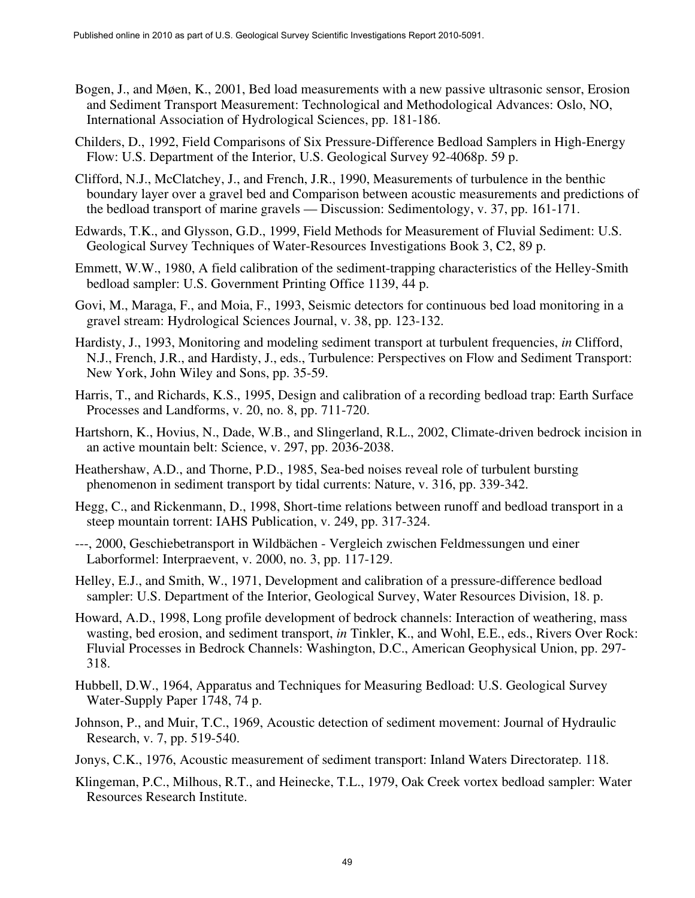- Bogen, J., and Møen, K., 2001, Bed load measurements with a new passive ultrasonic sensor, Erosion and Sediment Transport Measurement: Technological and Methodological Advances: Oslo, NO, International Association of Hydrological Sciences, pp. 181-186.
- Childers, D., 1992, Field Comparisons of Six Pressure-Difference Bedload Samplers in High-Energy Flow: U.S. Department of the Interior, U.S. Geological Survey 92-4068p. 59 p.
- Clifford, N.J., McClatchey, J., and French, J.R., 1990, Measurements of turbulence in the benthic boundary layer over a gravel bed and Comparison between acoustic measurements and predictions of the bedload transport of marine gravels — Discussion: Sedimentology, v. 37, pp. 161-171.
- Edwards, T.K., and Glysson, G.D., 1999, Field Methods for Measurement of Fluvial Sediment: U.S. Geological Survey Techniques of Water-Resources Investigations Book 3, C2, 89 p.
- Emmett, W.W., 1980, A field calibration of the sediment-trapping characteristics of the Helley-Smith bedload sampler: U.S. Government Printing Office 1139, 44 p.
- Govi, M., Maraga, F., and Moia, F., 1993, Seismic detectors for continuous bed load monitoring in a gravel stream: Hydrological Sciences Journal, v. 38, pp. 123-132.
- Hardisty, J., 1993, Monitoring and modeling sediment transport at turbulent frequencies, *in* Clifford, N.J., French, J.R., and Hardisty, J., eds., Turbulence: Perspectives on Flow and Sediment Transport: New York, John Wiley and Sons, pp. 35-59.
- Harris, T., and Richards, K.S., 1995, Design and calibration of a recording bedload trap: Earth Surface Processes and Landforms, v. 20, no. 8, pp. 711-720.
- Hartshorn, K., Hovius, N., Dade, W.B., and Slingerland, R.L., 2002, Climate-driven bedrock incision in an active mountain belt: Science, v. 297, pp. 2036-2038.
- Heathershaw, A.D., and Thorne, P.D., 1985, Sea-bed noises reveal role of turbulent bursting phenomenon in sediment transport by tidal currents: Nature, v. 316, pp. 339-342.
- Hegg, C., and Rickenmann, D., 1998, Short-time relations between runoff and bedload transport in a steep mountain torrent: IAHS Publication, v. 249, pp. 317-324.
- ---, 2000, Geschiebetransport in Wildbächen Vergleich zwischen Feldmessungen und einer Laborformel: Interpraevent, v. 2000, no. 3, pp. 117-129.
- Helley, E.J., and Smith, W., 1971, Development and calibration of a pressure-difference bedload sampler: U.S. Department of the Interior, Geological Survey, Water Resources Division, 18. p.
- Howard, A.D., 1998, Long profile development of bedrock channels: Interaction of weathering, mass wasting, bed erosion, and sediment transport, *in* Tinkler, K., and Wohl, E.E., eds., Rivers Over Rock: Fluvial Processes in Bedrock Channels: Washington, D.C., American Geophysical Union, pp. 297- 318.
- Hubbell, D.W., 1964, Apparatus and Techniques for Measuring Bedload: U.S. Geological Survey Water-Supply Paper 1748, 74 p.
- Johnson, P., and Muir, T.C., 1969, Acoustic detection of sediment movement: Journal of Hydraulic Research, v. 7, pp. 519-540.
- Jonys, C.K., 1976, Acoustic measurement of sediment transport: Inland Waters Directoratep. 118.
- Klingeman, P.C., Milhous, R.T., and Heinecke, T.L., 1979, Oak Creek vortex bedload sampler: Water Resources Research Institute.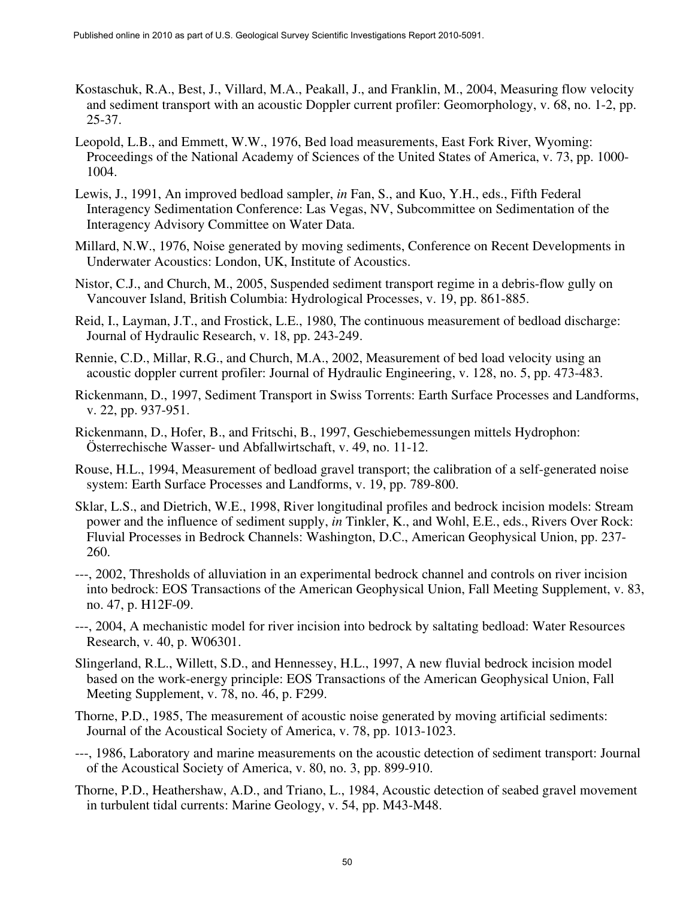- Kostaschuk, R.A., Best, J., Villard, M.A., Peakall, J., and Franklin, M., 2004, Measuring flow velocity and sediment transport with an acoustic Doppler current profiler: Geomorphology, v. 68, no. 1-2, pp. 25-37.
- Leopold, L.B., and Emmett, W.W., 1976, Bed load measurements, East Fork River, Wyoming: Proceedings of the National Academy of Sciences of the United States of America, v. 73, pp. 1000- 1004.
- Lewis, J., 1991, An improved bedload sampler, *in* Fan, S., and Kuo, Y.H., eds., Fifth Federal Interagency Sedimentation Conference: Las Vegas, NV, Subcommittee on Sedimentation of the Interagency Advisory Committee on Water Data.
- Millard, N.W., 1976, Noise generated by moving sediments, Conference on Recent Developments in Underwater Acoustics: London, UK, Institute of Acoustics.
- Nistor, C.J., and Church, M., 2005, Suspended sediment transport regime in a debris-flow gully on Vancouver Island, British Columbia: Hydrological Processes, v. 19, pp. 861-885.
- Reid, I., Layman, J.T., and Frostick, L.E., 1980, The continuous measurement of bedload discharge: Journal of Hydraulic Research, v. 18, pp. 243-249.
- Rennie, C.D., Millar, R.G., and Church, M.A., 2002, Measurement of bed load velocity using an acoustic doppler current profiler: Journal of Hydraulic Engineering, v. 128, no. 5, pp. 473-483.
- Rickenmann, D., 1997, Sediment Transport in Swiss Torrents: Earth Surface Processes and Landforms, v. 22, pp. 937-951.
- Rickenmann, D., Hofer, B., and Fritschi, B., 1997, Geschiebemessungen mittels Hydrophon: Österrechische Wasser- und Abfallwirtschaft, v. 49, no. 11-12.
- Rouse, H.L., 1994, Measurement of bedload gravel transport; the calibration of a self-generated noise system: Earth Surface Processes and Landforms, v. 19, pp. 789-800.
- Sklar, L.S., and Dietrich, W.E., 1998, River longitudinal profiles and bedrock incision models: Stream power and the influence of sediment supply, *in* Tinkler, K., and Wohl, E.E., eds., Rivers Over Rock: Fluvial Processes in Bedrock Channels: Washington, D.C., American Geophysical Union, pp. 237- 260.
- ---, 2002, Thresholds of alluviation in an experimental bedrock channel and controls on river incision into bedrock: EOS Transactions of the American Geophysical Union, Fall Meeting Supplement, v. 83, no. 47, p. H12F-09.
- ---, 2004, A mechanistic model for river incision into bedrock by saltating bedload: Water Resources Research, v. 40, p. W06301.
- Slingerland, R.L., Willett, S.D., and Hennessey, H.L., 1997, A new fluvial bedrock incision model based on the work-energy principle: EOS Transactions of the American Geophysical Union, Fall Meeting Supplement, v. 78, no. 46, p. F299.
- Thorne, P.D., 1985, The measurement of acoustic noise generated by moving artificial sediments: Journal of the Acoustical Society of America, v. 78, pp. 1013-1023.
- ---, 1986, Laboratory and marine measurements on the acoustic detection of sediment transport: Journal of the Acoustical Society of America, v. 80, no. 3, pp. 899-910.
- Thorne, P.D., Heathershaw, A.D., and Triano, L., 1984, Acoustic detection of seabed gravel movement in turbulent tidal currents: Marine Geology, v. 54, pp. M43-M48.